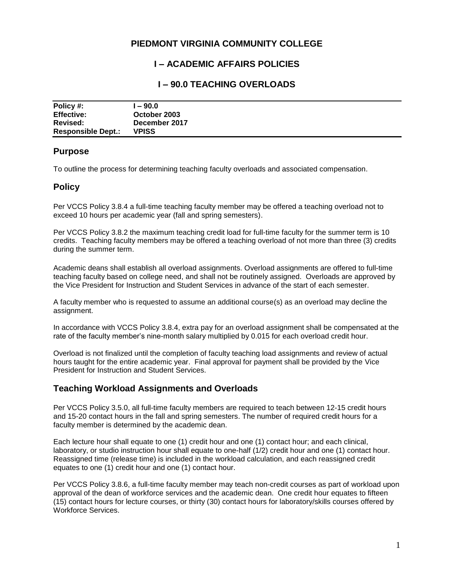## **PIEDMONT VIRGINIA COMMUNITY COLLEGE**

# **I – ACADEMIC AFFAIRS POLICIES**

## **I – 90.0 TEACHING OVERLOADS**

| Policy #:                 | $-90.0$       |
|---------------------------|---------------|
| <b>Effective:</b>         | October 2003  |
| Revised:                  | December 2017 |
| <b>Responsible Dept.:</b> | <b>VPISS</b>  |

#### **Purpose**

To outline the process for determining teaching faculty overloads and associated compensation.

### **Policy**

Per VCCS Policy 3.8.4 a full-time teaching faculty member may be offered a teaching overload not to exceed 10 hours per academic year (fall and spring semesters).

Per VCCS Policy 3.8.2 the maximum teaching credit load for full-time faculty for the summer term is 10 credits. Teaching faculty members may be offered a teaching overload of not more than three (3) credits during the summer term.

Academic deans shall establish all overload assignments. Overload assignments are offered to full-time teaching faculty based on college need, and shall not be routinely assigned. Overloads are approved by the Vice President for Instruction and Student Services in advance of the start of each semester.

A faculty member who is requested to assume an additional course(s) as an overload may decline the assignment.

In accordance with VCCS Policy 3.8.4, extra pay for an overload assignment shall be compensated at the rate of the faculty member's nine-month salary multiplied by 0.015 for each overload credit hour.

Overload is not finalized until the completion of faculty teaching load assignments and review of actual hours taught for the entire academic year. Final approval for payment shall be provided by the Vice President for Instruction and Student Services.

## **Teaching Workload Assignments and Overloads**

Per VCCS Policy 3.5.0, all full-time faculty members are required to teach between 12-15 credit hours and 15-20 contact hours in the fall and spring semesters. The number of required credit hours for a faculty member is determined by the academic dean.

Each lecture hour shall equate to one (1) credit hour and one (1) contact hour; and each clinical, laboratory, or studio instruction hour shall equate to one-half (1/2) credit hour and one (1) contact hour. Reassigned time (release time) is included in the workload calculation, and each reassigned credit equates to one (1) credit hour and one (1) contact hour.

Per VCCS Policy 3.8.6, a full-time faculty member may teach non-credit courses as part of workload upon approval of the dean of workforce services and the academic dean. One credit hour equates to fifteen (15) contact hours for lecture courses, or thirty (30) contact hours for laboratory/skills courses offered by Workforce Services.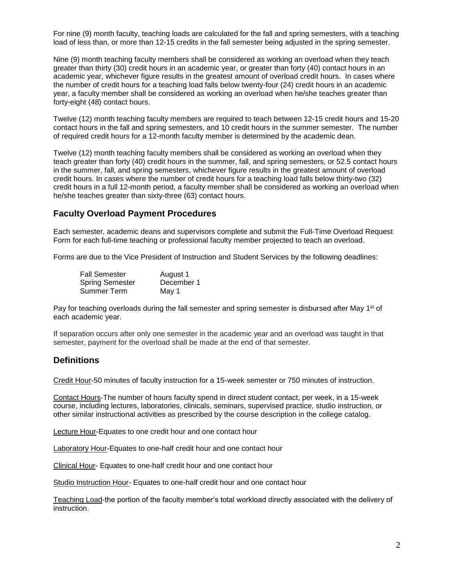For nine (9) month faculty, teaching loads are calculated for the fall and spring semesters, with a teaching load of less than, or more than 12-15 credits in the fall semester being adjusted in the spring semester.

Nine (9) month teaching faculty members shall be considered as working an overload when they teach greater than thirty (30) credit hours in an academic year, or greater than forty (40) contact hours in an academic year, whichever figure results in the greatest amount of overload credit hours. In cases where the number of credit hours for a teaching load falls below twenty-four (24) credit hours in an academic year, a faculty member shall be considered as working an overload when he/she teaches greater than forty-eight (48) contact hours.

Twelve (12) month teaching faculty members are required to teach between 12-15 credit hours and 15-20 contact hours in the fall and spring semesters, and 10 credit hours in the summer semester. The number of required credit hours for a 12-month faculty member is determined by the academic dean.

Twelve (12) month teaching faculty members shall be considered as working an overload when they teach greater than forty (40) credit hours in the summer, fall, and spring semesters, or 52.5 contact hours in the summer, fall, and spring semesters, whichever figure results in the greatest amount of overload credit hours. In cases where the number of credit hours for a teaching load falls below thirty-two (32) credit hours in a full 12-month period, a faculty member shall be considered as working an overload when he/she teaches greater than sixty-three (63) contact hours.

### **Faculty Overload Payment Procedures**

Each semester, academic deans and supervisors complete and submit the Full-Time Overload Request Form for each full-time teaching or professional faculty member projected to teach an overload.

Forms are due to the Vice President of Instruction and Student Services by the following deadlines:

| <b>Fall Semester</b>   | August 1   |
|------------------------|------------|
| <b>Spring Semester</b> | December 1 |
| Summer Term            | May 1      |

Pay for teaching overloads during the fall semester and spring semester is disbursed after May 1<sup>st</sup> of each academic year.

If separation occurs after only one semester in the academic year and an overload was taught in that semester, payment for the overload shall be made at the end of that semester.

#### **Definitions**

Credit Hour-50 minutes of faculty instruction for a 15-week semester or 750 minutes of instruction.

Contact Hours-The number of hours faculty spend in direct student contact, per week, in a 15-week course, including lectures, laboratories, clinicals, seminars, supervised practice, studio instruction, or other similar instructional activities as prescribed by the course description in the college catalog.

Lecture Hour-Equates to one credit hour and one contact hour

Laboratory Hour-Equates to one-half credit hour and one contact hour

Clinical Hour- Equates to one-half credit hour and one contact hour

Studio Instruction Hour- Equates to one-half credit hour and one contact hour

Teaching Load-the portion of the faculty member's total workload directly associated with the delivery of instruction.